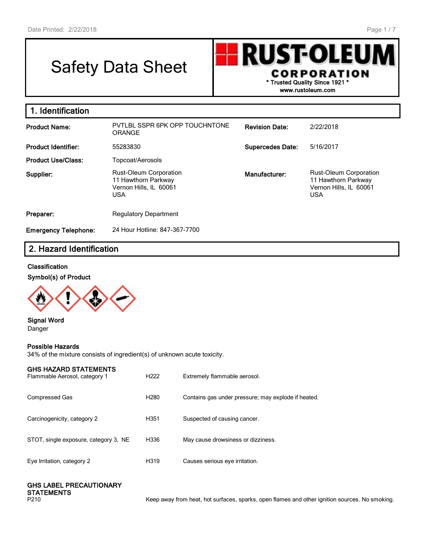# Safety Data Sheet



**1. Identification Product Name:** PVTLBL SSPR 6PK OPP TOUCHNTONE ORANGE **Revision Date:** 2/22/2018 **Product Identifier:** 55283830 **Supercedes Date:** 5/16/2017 **Product Use/Class:** Topcoat/Aerosols **Supplier:** Rust-Oleum Corporation 11 Hawthorn Parkway Vernon Hills, IL 60061 USA **Manufacturer:** Rust-Oleum Corporation 11 Hawthorn Parkway Vernon Hills, IL 60061 USA **Preparer:** Regulatory Department **Emergency Telephone:** 24 Hour Hotline: 847-367-7700

# **2. Hazard Identification**

#### **Classification**

#### **Symbol(s) of Product**



**Signal Word** Danger

#### **Possible Hazards**

34% of the mixture consists of ingredient(s) of unknown acute toxicity.

#### **GHS HAZARD STATEMENTS**

| <u>GIBLO LIACAND UTATEMENTU</u><br>Flammable Aerosol, category 1 | H <sub>222</sub> | Extremely flammable aerosol.                        |
|------------------------------------------------------------------|------------------|-----------------------------------------------------|
| Compressed Gas                                                   | H <sub>280</sub> | Contains gas under pressure; may explode if heated. |
| Carcinogenicity, category 2                                      | H351             | Suspected of causing cancer.                        |
| STOT, single exposure, category 3, NE                            | H336             | May cause drowsiness or dizziness.                  |
| Eye Irritation, category 2                                       | H319             | Causes serious eye irritation.                      |

# **GHS LABEL PRECAUTIONARY STATEMENTS**<br>P210

Keep away from heat, hot surfaces, sparks, open flames and other ignition sources. No smoking.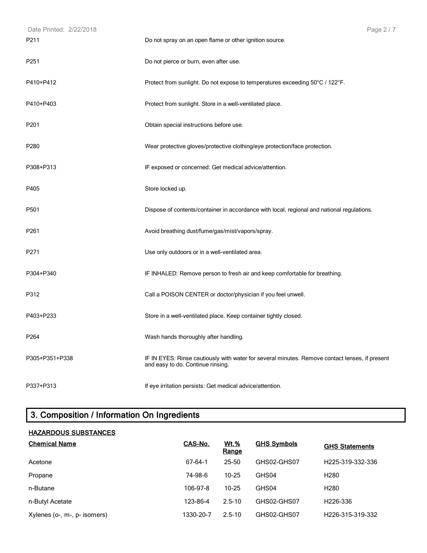| Date Printed: 2/22/2018 | Page 2 / 7                                                                                                                          |
|-------------------------|-------------------------------------------------------------------------------------------------------------------------------------|
| P211                    | Do not spray on an open flame or other ignition source.                                                                             |
| P <sub>251</sub>        | Do not pierce or burn, even after use.                                                                                              |
| P410+P412               | Protect from sunlight. Do not expose to temperatures exceeding 50°C / 122°F.                                                        |
| P410+P403               | Protect from sunlight. Store in a well-ventilated place.                                                                            |
| P201                    | Obtain special instructions before use.                                                                                             |
| P280                    | Wear protective gloves/protective clothing/eye protection/face protection.                                                          |
| P308+P313               | IF exposed or concerned: Get medical advice/attention.                                                                              |
| P405                    | Store locked up.                                                                                                                    |
| P501                    | Dispose of contents/container in accordance with local, regional and national regulations.                                          |
| P261                    | Avoid breathing dust/fume/gas/mist/vapors/spray.                                                                                    |
| P271                    | Use only outdoors or in a well-ventilated area.                                                                                     |
| P304+P340               | IF INHALED: Remove person to fresh air and keep comfortable for breathing.                                                          |
| P312                    | Call a POISON CENTER or doctor/physician if you feel unwell.                                                                        |
| P403+P233               | Store in a well-ventilated place. Keep container tightly closed.                                                                    |
| P264                    | Wash hands thoroughly after handling.                                                                                               |
| P305+P351+P338          | IF IN EYES: Rinse cautiously with water for several minutes. Remove contact lenses, if present<br>and easy to do. Continue rinsing. |
| P337+P313               | If eye irritation persists: Get medical advice/attention.                                                                           |

# **3. Composition / Information On Ingredients**

# **HAZARDOUS SUBSTANCES**

| <b>Chemical Name</b>         | CAS-No.   | Wt.%<br>Range | <b>GHS Symbols</b> | <b>GHS Statements</b>         |
|------------------------------|-----------|---------------|--------------------|-------------------------------|
| Acetone                      | 67-64-1   | 25-50         | GHS02-GHS07        | H <sub>225</sub> -319-332-336 |
| Propane                      | 74-98-6   | $10 - 25$     | GHS04              | H <sub>280</sub>              |
| n-Butane                     | 106-97-8  | $10 - 25$     | GHS04              | H <sub>280</sub>              |
| n-Butyl Acetate              | 123-86-4  | $2.5 - 10$    | GHS02-GHS07        | H <sub>226</sub> -336         |
| Xylenes (o-, m-, p- isomers) | 1330-20-7 | $2.5 - 10$    | GHS02-GHS07        | H226-315-319-332              |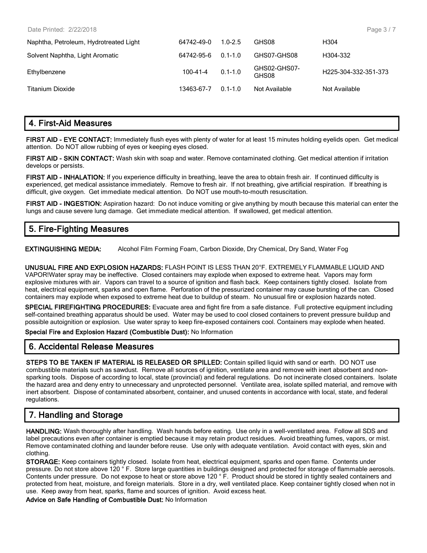| Date Printed: 2/22/2018                |                |             |                       | Page 3/7             |
|----------------------------------------|----------------|-------------|-----------------------|----------------------|
| Naphtha, Petroleum, Hydrotreated Light | 64742-49-0     | $1.0 - 2.5$ | GHS08                 | H <sub>304</sub>     |
| Solvent Naphtha, Light Aromatic        | 64742-95-6     | $0.1 - 1.0$ | GHS07-GHS08           | H304-332             |
| Ethylbenzene                           | $100 - 41 - 4$ | $0.1 - 1.0$ | GHS02-GHS07-<br>GHS08 | H225-304-332-351-373 |
| <b>Titanium Dioxide</b>                | 13463-67-7     | $0.1 - 1.0$ | Not Available         | Not Available        |

### **4. First-Aid Measures**

**FIRST AID - EYE CONTACT:** Immediately flush eyes with plenty of water for at least 15 minutes holding eyelids open. Get medical attention. Do NOT allow rubbing of eyes or keeping eyes closed.

**FIRST AID - SKIN CONTACT:** Wash skin with soap and water. Remove contaminated clothing. Get medical attention if irritation develops or persists.

FIRST AID - INHALATION: If you experience difficulty in breathing, leave the area to obtain fresh air. If continued difficulty is experienced, get medical assistance immediately. Remove to fresh air. If not breathing, give artificial respiration. If breathing is difficult, give oxygen. Get immediate medical attention. Do NOT use mouth-to-mouth resuscitation.

**FIRST AID - INGESTION:** Aspiration hazard: Do not induce vomiting or give anything by mouth because this material can enter the lungs and cause severe lung damage. Get immediate medical attention. If swallowed, get medical attention.

# **5. Fire-Fighting Measures**

**EXTINGUISHING MEDIA:** Alcohol Film Forming Foam, Carbon Dioxide, Dry Chemical, Dry Sand, Water Fog

**UNUSUAL FIRE AND EXPLOSION HAZARDS:** FLASH POINT IS LESS THAN 20°F. EXTREMELY FLAMMABLE LIQUID AND VAPOR!Water spray may be ineffective. Closed containers may explode when exposed to extreme heat. Vapors may form explosive mixtures with air. Vapors can travel to a source of ignition and flash back. Keep containers tightly closed. Isolate from heat, electrical equipment, sparks and open flame. Perforation of the pressurized container may cause bursting of the can. Closed containers may explode when exposed to extreme heat due to buildup of steam. No unusual fire or explosion hazards noted.

**SPECIAL FIREFIGHTING PROCEDURES:** Evacuate area and fight fire from a safe distance. Full protective equipment including self-contained breathing apparatus should be used. Water may be used to cool closed containers to prevent pressure buildup and possible autoignition or explosion. Use water spray to keep fire-exposed containers cool. Containers may explode when heated.

**Special Fire and Explosion Hazard (Combustible Dust):** No Information

#### **6. Accidental Release Measures**

**STEPS TO BE TAKEN IF MATERIAL IS RELEASED OR SPILLED:** Contain spilled liquid with sand or earth. DO NOT use combustible materials such as sawdust. Remove all sources of ignition, ventilate area and remove with inert absorbent and nonsparking tools. Dispose of according to local, state (provincial) and federal regulations. Do not incinerate closed containers. Isolate the hazard area and deny entry to unnecessary and unprotected personnel. Ventilate area, isolate spilled material, and remove with inert absorbent. Dispose of contaminated absorbent, container, and unused contents in accordance with local, state, and federal regulations.

# **7. Handling and Storage**

**HANDLING:** Wash thoroughly after handling. Wash hands before eating. Use only in a well-ventilated area. Follow all SDS and label precautions even after container is emptied because it may retain product residues. Avoid breathing fumes, vapors, or mist. Remove contaminated clothing and launder before reuse. Use only with adequate ventilation. Avoid contact with eyes, skin and clothing.

**STORAGE:** Keep containers tightly closed. Isolate from heat, electrical equipment, sparks and open flame. Contents under pressure. Do not store above 120 ° F. Store large quantities in buildings designed and protected for storage of flammable aerosols. Contents under pressure. Do not expose to heat or store above 120 ° F. Product should be stored in tightly sealed containers and protected from heat, moisture, and foreign materials. Store in a dry, well ventilated place. Keep container tightly closed when not in use. Keep away from heat, sparks, flame and sources of ignition. Avoid excess heat.

**Advice on Safe Handling of Combustible Dust:** No Information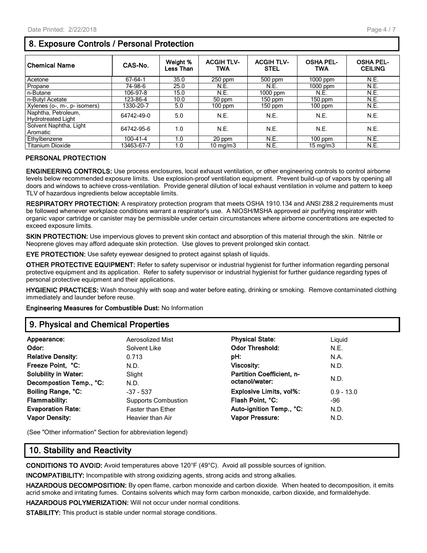# **8. Exposure Controls / Personal Protection**

| <b>Chemical Name</b>                             | CAS-No.    | Weight %<br><b>Less Than</b> | <b>ACGIH TLV-</b><br><b>TWA</b> | <b>ACGIH TLV-</b><br><b>STEL</b> | <b>OSHA PEL-</b><br><b>TWA</b> | <b>OSHA PEL-</b><br><b>CEILING</b> |
|--------------------------------------------------|------------|------------------------------|---------------------------------|----------------------------------|--------------------------------|------------------------------------|
| Acetone                                          | 67-64-1    | 35.0                         | $250$ ppm                       | 500 ppm                          | $1000$ ppm                     | N.E.                               |
| Propane                                          | 74-98-6    | 25.0                         | N.E.                            | N.E.                             | $1000$ ppm                     | N.E.                               |
| n-Butane                                         | 106-97-8   | 15.0                         | N.E.                            | 1000 ppm                         | N.E.                           | N.E.                               |
| n-Butyl Acetate                                  | 123-86-4   | 10.0                         | 50 ppm                          | 150 ppm                          | $150$ ppm                      | N.E.                               |
| Xylenes (o-, m-, p- isomers)                     | 1330-20-7  | 5.0                          | $100$ ppm                       | 150 ppm                          | 100 ppm                        | N.E.                               |
| Naphtha, Petroleum,<br><b>Hydrotreated Light</b> | 64742-49-0 | 5.0                          | N.E.                            | N.E.                             | N.E.                           | N.E.                               |
| Solvent Naphtha, Light<br>Aromatic               | 64742-95-6 | 1.0                          | N.E.                            | N.E.                             | N.E.                           | N.E.                               |
| Ethylbenzene                                     | 100-41-4   | 1.0                          | 20 ppm                          | N.E.                             | $100$ ppm                      | N.E.                               |
| <b>Titanium Dioxide</b>                          | 13463-67-7 | 1.0                          | $10 \text{ ma/m}$ 3             | N.E.                             | $15 \text{ mg/m}$              | N.E.                               |

#### **PERSONAL PROTECTION**

**ENGINEERING CONTROLS:** Use process enclosures, local exhaust ventilation, or other engineering controls to control airborne levels below recommended exposure limits. Use explosion-proof ventilation equipment. Prevent build-up of vapors by opening all doors and windows to achieve cross-ventilation. Provide general dilution of local exhaust ventilation in volume and pattern to keep TLV of hazardous ingredients below acceptable limits.

**RESPIRATORY PROTECTION:** A respiratory protection program that meets OSHA 1910.134 and ANSI Z88.2 requirements must be followed whenever workplace conditions warrant a respirator's use. A NIOSH/MSHA approved air purifying respirator with organic vapor cartridge or canister may be permissible under certain circumstances where airborne concentrations are expected to exceed exposure limits.

**SKIN PROTECTION:** Use impervious gloves to prevent skin contact and absorption of this material through the skin. Nitrile or Neoprene gloves may afford adequate skin protection. Use gloves to prevent prolonged skin contact.

**EYE PROTECTION:** Use safety eyewear designed to protect against splash of liquids.

**OTHER PROTECTIVE EQUIPMENT:** Refer to safety supervisor or industrial hygienist for further information regarding personal protective equipment and its application. Refer to safety supervisor or industrial hygienist for further guidance regarding types of personal protective equipment and their applications.

**HYGIENIC PRACTICES:** Wash thoroughly with soap and water before eating, drinking or smoking. Remove contaminated clothing immediately and launder before reuse.

**Engineering Measures for Combustible Dust:** No Information

#### **9. Physical and Chemical Properties**

| Appearance:                 | Aerosolized Mist           | <b>Physical State:</b>           | Liguid       |
|-----------------------------|----------------------------|----------------------------------|--------------|
| Odor:                       | Solvent Like               | <b>Odor Threshold:</b>           | N.E.         |
| <b>Relative Density:</b>    | 0.713                      | pH:                              | N.A.         |
| Freeze Point, °C:           | N.D.                       | <b>Viscosity:</b>                | N.D.         |
| <b>Solubility in Water:</b> | Slight                     | <b>Partition Coefficient, n-</b> |              |
| Decompostion Temp., °C:     | N.D.                       | octanol/water:                   | N.D.         |
| Boiling Range, °C:          | $-37 - 537$                | <b>Explosive Limits, vol%:</b>   | $0.9 - 13.0$ |
| <b>Flammability:</b>        | <b>Supports Combustion</b> | Flash Point, °C:                 | -96          |
| <b>Evaporation Rate:</b>    | <b>Faster than Ether</b>   | Auto-ignition Temp., °C:         | N.D.         |
| <b>Vapor Density:</b>       | Heavier than Air           | <b>Vapor Pressure:</b>           | N.D.         |
|                             |                            |                                  |              |

(See "Other information" Section for abbreviation legend)

# **10. Stability and Reactivity**

**CONDITIONS TO AVOID:** Avoid temperatures above 120°F (49°C). Avoid all possible sources of ignition.

**INCOMPATIBILITY:** Incompatible with strong oxidizing agents, strong acids and strong alkalies.

**HAZARDOUS DECOMPOSITION:** By open flame, carbon monoxide and carbon dioxide. When heated to decomposition, it emits acrid smoke and irritating fumes. Contains solvents which may form carbon monoxide, carbon dioxide, and formaldehyde.

**HAZARDOUS POLYMERIZATION:** Will not occur under normal conditions.

**STABILITY:** This product is stable under normal storage conditions.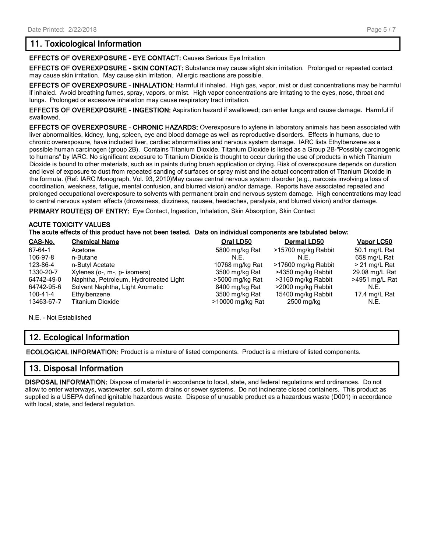# **11. Toxicological Information**

**EFFECTS OF OVEREXPOSURE - EYE CONTACT:** Causes Serious Eye Irritation

**EFFECTS OF OVEREXPOSURE - SKIN CONTACT:** Substance may cause slight skin irritation. Prolonged or repeated contact may cause skin irritation. May cause skin irritation. Allergic reactions are possible.

**EFFECTS OF OVEREXPOSURE - INHALATION:** Harmful if inhaled. High gas, vapor, mist or dust concentrations may be harmful if inhaled. Avoid breathing fumes, spray, vapors, or mist. High vapor concentrations are irritating to the eyes, nose, throat and lungs. Prolonged or excessive inhalation may cause respiratory tract irritation.

**EFFECTS OF OVEREXPOSURE - INGESTION:** Aspiration hazard if swallowed; can enter lungs and cause damage. Harmful if swallowed.

**EFFECTS OF OVEREXPOSURE - CHRONIC HAZARDS:** Overexposure to xylene in laboratory animals has been associated with liver abnormalities, kidney, lung, spleen, eye and blood damage as well as reproductive disorders. Effects in humans, due to chronic overexposure, have included liver, cardiac abnormalities and nervous system damage. IARC lists Ethylbenzene as a possible human carcinogen (group 2B). Contains Titanium Dioxide. Titanium Dioxide is listed as a Group 2B-"Possibly carcinogenic to humans" by IARC. No significant exposure to Titanium Dioxide is thought to occur during the use of products in which Titanium Dioxide is bound to other materials, such as in paints during brush application or drying. Risk of overexposure depends on duration and level of exposure to dust from repeated sanding of surfaces or spray mist and the actual concentration of Titanium Dioxide in the formula. (Ref: IARC Monograph, Vol. 93, 2010)May cause central nervous system disorder (e.g., narcosis involving a loss of coordination, weakness, fatigue, mental confusion, and blurred vision) and/or damage. Reports have associated repeated and prolonged occupational overexposure to solvents with permanent brain and nervous system damage. High concentrations may lead to central nervous system effects (drowsiness, dizziness, nausea, headaches, paralysis, and blurred vision) and/or damage.

PRIMARY ROUTE(S) OF ENTRY: Eye Contact, Ingestion, Inhalation, Skin Absorption, Skin Contact

#### **ACUTE TOXICITY VALUES**

#### **The acute effects of this product have not been tested. Data on individual components are tabulated below:**

| CAS-No.        | <b>Chemical Name</b>                   | Oral LD50        | Dermal LD50         | Vapor LC50      |
|----------------|----------------------------------------|------------------|---------------------|-----------------|
| 67-64-1        | Acetone                                | 5800 mg/kg Rat   | >15700 mg/kg Rabbit | 50.1 mg/L Rat   |
| 106-97-8       | n-Butane                               | N.F.             | N.E.                | 658 mg/L Rat    |
| 123-86-4       | n-Butyl Acetate                        | 10768 mg/kg Rat  | >17600 mg/kg Rabbit | $> 21$ mg/L Rat |
| 1330-20-7      | Xylenes (o-, m-, p- isomers)           | 3500 mg/kg Rat   | >4350 mg/kg Rabbit  | 29.08 mg/L Rat  |
| 64742-49-0     | Naphtha, Petroleum, Hydrotreated Light | >5000 mg/kg Rat  | >3160 mg/kg Rabbit  | >4951 mg/L Rat  |
| 64742-95-6     | Solvent Naphtha, Light Aromatic        | 8400 mg/kg Rat   | >2000 mg/kg Rabbit  | N.E.            |
| $100 - 41 - 4$ | Ethylbenzene                           | 3500 mg/kg Rat   | 15400 mg/kg Rabbit  | 17.4 mg/L Rat   |
| 13463-67-7     | Titanium Dioxide                       | >10000 mg/kg Rat | 2500 mg/kg          | N.E.            |

N.E. - Not Established

# **12. Ecological Information**

**ECOLOGICAL INFORMATION:** Product is a mixture of listed components. Product is a mixture of listed components.

#### **13. Disposal Information**

**DISPOSAL INFORMATION:** Dispose of material in accordance to local, state, and federal regulations and ordinances. Do not allow to enter waterways, wastewater, soil, storm drains or sewer systems. Do not incinerate closed containers. This product as supplied is a USEPA defined ignitable hazardous waste. Dispose of unusable product as a hazardous waste (D001) in accordance with local, state, and federal regulation.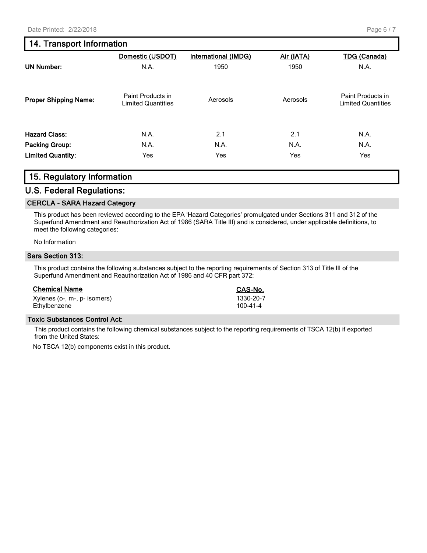# **14. Transport Information**

|                              | Domestic (USDOT)                               | International (IMDG) | Air (IATA) | <b>TDG (Canada)</b>                            |
|------------------------------|------------------------------------------------|----------------------|------------|------------------------------------------------|
| <b>UN Number:</b>            | N.A.                                           | 1950                 | 1950       | N.A.                                           |
| <b>Proper Shipping Name:</b> | Paint Products in<br><b>Limited Quantities</b> | Aerosols             | Aerosols   | Paint Products in<br><b>Limited Quantities</b> |
| <b>Hazard Class:</b>         | N.A.                                           | 2.1                  | 2.1        | N.A.                                           |
| <b>Packing Group:</b>        | N.A.                                           | N.A.                 | N.A.       | N.A.                                           |
| <b>Limited Quantity:</b>     | Yes                                            | Yes                  | Yes        | Yes                                            |

### **15. Regulatory Information**

#### **U.S. Federal Regulations:**

#### **CERCLA - SARA Hazard Category**

This product has been reviewed according to the EPA 'Hazard Categories' promulgated under Sections 311 and 312 of the Superfund Amendment and Reauthorization Act of 1986 (SARA Title III) and is considered, under applicable definitions, to meet the following categories:

No Information

#### **Sara Section 313:**

This product contains the following substances subject to the reporting requirements of Section 313 of Title III of the Superfund Amendment and Reauthorization Act of 1986 and 40 CFR part 372:

#### **Chemical Name CAS-No.**

| Xylenes (o-, m-, p- isomers) | 1330-20-7 |
|------------------------------|-----------|
| Ethylbenzene                 | 100-41-4  |

#### **Toxic Substances Control Act:**

This product contains the following chemical substances subject to the reporting requirements of TSCA 12(b) if exported from the United States:

No TSCA 12(b) components exist in this product.